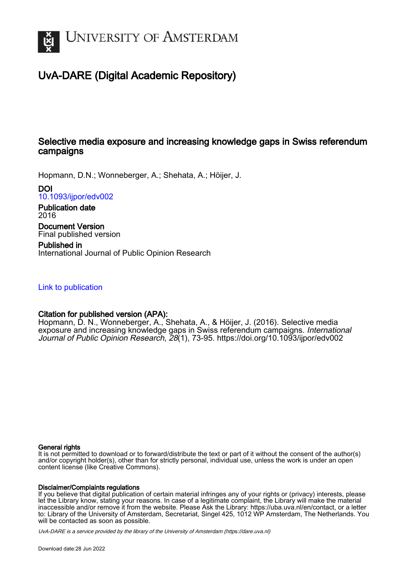

# UvA-DARE (Digital Academic Repository)

# Selective media exposure and increasing knowledge gaps in Swiss referendum campaigns

Hopmann, D.N.; Wonneberger, A.; Shehata, A.; Höijer, J.

DOI

[10.1093/ijpor/edv002](https://doi.org/10.1093/ijpor/edv002)

Publication date 2016

Document Version Final published version

Published in International Journal of Public Opinion Research

# [Link to publication](https://dare.uva.nl/personal/pure/en/publications/selective-media-exposure-and-increasing-knowledge-gaps-in-swiss-referendum-campaigns(37f7e640-8390-4c44-ac42-7360cca60333).html)

# Citation for published version (APA):

Hopmann, D. N., Wonneberger, A., Shehata, A., & Höijer, J. (2016). Selective media exposure and increasing knowledge gaps in Swiss referendum campaigns. International Journal of Public Opinion Research, 28(1), 73-95. <https://doi.org/10.1093/ijpor/edv002>

# General rights

It is not permitted to download or to forward/distribute the text or part of it without the consent of the author(s) and/or copyright holder(s), other than for strictly personal, individual use, unless the work is under an open content license (like Creative Commons).

# Disclaimer/Complaints regulations

If you believe that digital publication of certain material infringes any of your rights or (privacy) interests, please let the Library know, stating your reasons. In case of a legitimate complaint, the Library will make the material inaccessible and/or remove it from the website. Please Ask the Library: https://uba.uva.nl/en/contact, or a letter to: Library of the University of Amsterdam, Secretariat, Singel 425, 1012 WP Amsterdam, The Netherlands. You will be contacted as soon as possible.

UvA-DARE is a service provided by the library of the University of Amsterdam (http*s*://dare.uva.nl)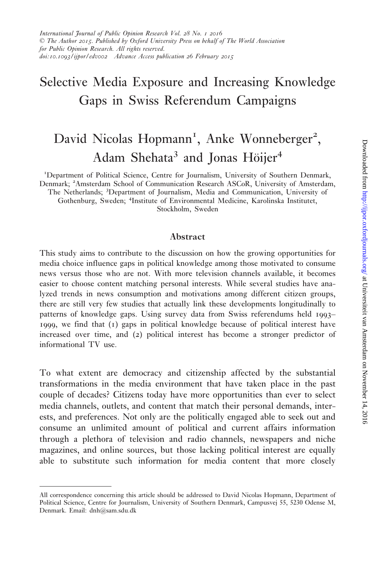# Selective Media Exposure and Increasing Knowledge Gaps in Swiss Referendum Campaigns

# David Nicolas Hopmann<sup>1</sup>, Anke Wonneberger<sup>2</sup>, Adam Shehata<sup>3</sup> and Jonas Höijer<sup>4</sup>

<sup>1</sup>Department of Political Science, Centre for Journalism, University of Southern Denmark, Denmark; <sup>2</sup>Amsterdam School of Communication Research ASCoR, University of Amsterdam, The Netherlands; <sup>3</sup> Department of Journalism, Media and Communication, University of Gothenburg, Sweden; <sup>4</sup> Institute of Environmental Medicine, Karolinska Institutet, Stockholm, Sweden

#### Abstract

This study aims to contribute to the discussion on how the growing opportunities for media choice influence gaps in political knowledge among those motivated to consume news versus those who are not. With more television channels available, it becomes easier to choose content matching personal interests. While several studies have analyzed trends in news consumption and motivations among different citizen groups, there are still very few studies that actually link these developments longitudinally to patterns of knowledge gaps. Using survey data from Swiss referendums held 1993– 1999, we find that (1) gaps in political knowledge because of political interest have increased over time, and (2) political interest has become a stronger predictor of informational TV use.

To what extent are democracy and citizenship affected by the substantial transformations in the media environment that have taken place in the past couple of decades? Citizens today have more opportunities than ever to select media channels, outlets, and content that match their personal demands, interests, and preferences. Not only are the politically engaged able to seek out and consume an unlimited amount of political and current affairs information through a plethora of television and radio channels, newspapers and niche magazines, and online sources, but those lacking political interest are equally able to substitute such information for media content that more closely

All correspondence concerning this article should be addressed to David Nicolas Hopmann, Department of Political Science, Centre for Journalism, University of Southern Denmark, Campusvej 55, 5230 Odense M, Denmark. Email: dnh@sam.sdu.dk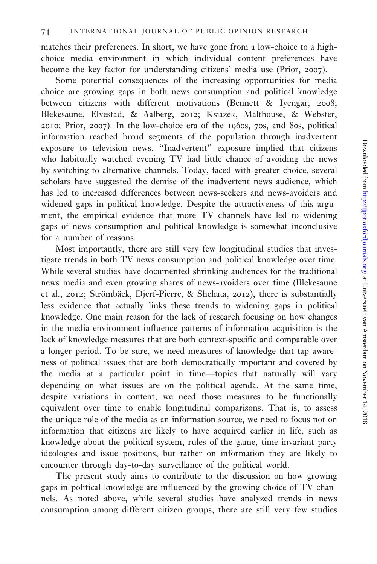matches their preferences. In short, we have gone from a low-choice to a highchoice media environment in which individual content preferences have become the key factor for understanding citizens' media use [\(Prior,](#page-22-0) 2007).

Some potential consequences of the increasing opportunities for media choice are growing gaps in both news consumption and political knowledge between citizens with different motivations ([Bennett & Iyengar,](#page-20-0) 2008; [Blekesaune, Elvestad, & Aalberg,](#page-20-0) 2012; [Ksiazek, Malthouse, & Webster,](#page-21-0) [2010](#page-21-0); [Prior,](#page-22-0) 2007). In the low-choice era of the 1960s, 70s, and 80s, political information reached broad segments of the population through inadvertent exposure to television news. ''Inadvertent'' exposure implied that citizens who habitually watched evening TV had little chance of avoiding the news by switching to alternative channels. Today, faced with greater choice, several scholars have suggested the demise of the inadvertent news audience, which has led to increased differences between news-seekers and news-avoiders and widened gaps in political knowledge. Despite the attractiveness of this argument, the empirical evidence that more TV channels have led to widening gaps of news consumption and political knowledge is somewhat inconclusive for a number of reasons.

Most importantly, there are still very few longitudinal studies that investigate trends in both TV news consumption and political knowledge over time. While several studies have documented shrinking audiences for the traditional news media and even growing shares of news-avoiders over time ([Blekesaune](#page-20-0) [et al.,](#page-20-0) 2012; Strömbäck, Djerf-Pierre, & Shehata, 2012), there is substantially less evidence that actually links these trends to widening gaps in political knowledge. One main reason for the lack of research focusing on how changes in the media environment influence patterns of information acquisition is the lack of knowledge measures that are both context-specific and comparable over a longer period. To be sure, we need measures of knowledge that tap awareness of political issues that are both democratically important and covered by the media at a particular point in time—topics that naturally will vary depending on what issues are on the political agenda. At the same time, despite variations in content, we need those measures to be functionally equivalent over time to enable longitudinal comparisons. That is, to assess the unique role of the media as an information source, we need to focus not on information that citizens are likely to have acquired earlier in life, such as knowledge about the political system, rules of the game, time-invariant party ideologies and issue positions, but rather on information they are likely to encounter through day-to-day surveillance of the political world.

The present study aims to contribute to the discussion on how growing gaps in political knowledge are influenced by the growing choice of TV channels. As noted above, while several studies have analyzed trends in news consumption among different citizen groups, there are still very few studies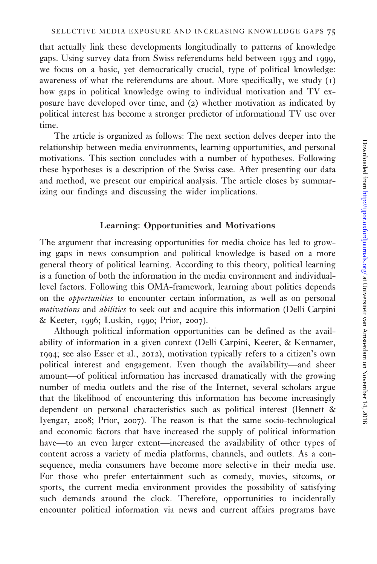that actually link these developments longitudinally to patterns of knowledge gaps. Using survey data from Swiss referendums held between 1993 and 1999, we focus on a basic, yet democratically crucial, type of political knowledge: awareness of what the referendums are about. More specifically, we study  $(i)$ how gaps in political knowledge owing to individual motivation and TV exposure have developed over time, and (2) whether motivation as indicated by political interest has become a stronger predictor of informational TV use over time.

The article is organized as follows: The next section delves deeper into the relationship between media environments, learning opportunities, and personal motivations. This section concludes with a number of hypotheses. Following these hypotheses is a description of the Swiss case. After presenting our data and method, we present our empirical analysis. The article closes by summarizing our findings and discussing the wider implications.

# Learning: Opportunities and Motivations

The argument that increasing opportunities for media choice has led to growing gaps in news consumption and political knowledge is based on a more general theory of political learning. According to this theory, political learning is a function of both the information in the media environment and individuallevel factors. Following this OMA-framework, learning about politics depends on the opportunities to encounter certain information, as well as on personal motivations and *abilities* to seek out and acquire this information ([Delli Carpini](#page-20-0) [& Keeter,](#page-20-0) 1996; [Luskin,](#page-22-0) 1990; [Prior,](#page-22-0) 2007).

Although political information opportunities can be defined as the availability of information in a given context [\(Delli Carpini, Keeter, & Kennamer,](#page-20-0) [1994](#page-20-0); see also [Esser et al.,](#page-21-0) 2012), motivation typically refers to a citizen's own political interest and engagement. Even though the availability—and sheer amount—of political information has increased dramatically with the growing number of media outlets and the rise of the Internet, several scholars argue that the likelihood of encountering this information has become increasingly dependent on personal characteristics such as political interest ([Bennett &](#page-20-0) [Iyengar,](#page-20-0) 2008; [Prior,](#page-22-0) 2007). The reason is that the same socio-technological and economic factors that have increased the supply of political information have—to an even larger extent—increased the availability of other types of content across a variety of media platforms, channels, and outlets. As a consequence, media consumers have become more selective in their media use. For those who prefer entertainment such as comedy, movies, sitcoms, or sports, the current media environment provides the possibility of satisfying such demands around the clock. Therefore, opportunities to incidentally encounter political information via news and current affairs programs have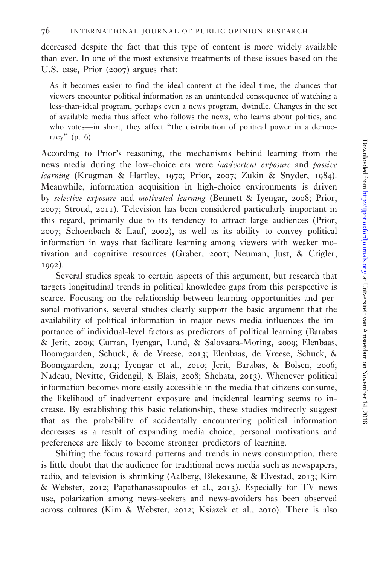decreased despite the fact that this type of content is more widely available than ever. In one of the most extensive treatments of these issues based on the U.S. case, [Prior \(](#page-22-0)2007) argues that:

As it becomes easier to find the ideal content at the ideal time, the chances that viewers encounter political information as an unintended consequence of watching a less-than-ideal program, perhaps even a news program, dwindle. Changes in the set of available media thus affect who follows the news, who learns about politics, and who votes—in short, they affect "the distribution of political power in a democracy'' (p. 6).

According to Prior's reasoning, the mechanisms behind learning from the news media during the low-choice era were inadvertent exposure and passive learning ([Krugman & Hartley,](#page-21-0) 1970; [Prior,](#page-22-0) 2007; [Zukin & Snyder,](#page-23-0) 1984). Meanwhile, information acquisition in high-choice environments is driven by selective exposure and motivated learning ([Bennett & Iyengar,](#page-20-0) 2008; [Prior,](#page-22-0) [2007](#page-22-0); [Stroud,](#page-23-0) 2011). Television has been considered particularly important in this regard, primarily due to its tendency to attract large audiences ([Prior,](#page-22-0) [2007](#page-22-0); [Schoenbach & Lauf,](#page-22-0) 2002), as well as its ability to convey political information in ways that facilitate learning among viewers with weaker motivation and cognitive resources ([Graber,](#page-21-0) 2001; [Neuman, Just, & Crigler,](#page-22-0) [1992](#page-22-0)).

Several studies speak to certain aspects of this argument, but research that targets longitudinal trends in political knowledge gaps from this perspective is scarce. Focusing on the relationship between learning opportunities and personal motivations, several studies clearly support the basic argument that the availability of political information in major news media influences the importance of individual-level factors as predictors of political learning [\(Barabas](#page-20-0) [& Jerit,](#page-20-0) 2009; [Curran, Iyengar, Lund, & Salovaara-Moring,](#page-20-0) 2009; [Elenbaas,](#page-21-0) [Boomgaarden, Schuck, & de Vreese,](#page-21-0) 2013; [Elenbaas, de Vreese, Schuck, &](#page-21-0) [Boomgaarden,](#page-21-0) 2014; [Iyengar et al.,](#page-21-0) 2010; [Jerit, Barabas, & Bolsen,](#page-21-0) 2006; [Nadeau, Nevitte, Gidengil, & Blais,](#page-22-0) 2008; [Shehata,](#page-22-0) 2013). Whenever political information becomes more easily accessible in the media that citizens consume, the likelihood of inadvertent exposure and incidental learning seems to increase. By establishing this basic relationship, these studies indirectly suggest that as the probability of accidentally encountering political information decreases as a result of expanding media choice, personal motivations and preferences are likely to become stronger predictors of learning.

Shifting the focus toward patterns and trends in news consumption, there is little doubt that the audience for traditional news media such as newspapers, radio, and television is shrinking ([Aalberg, Blekesaune, & Elvestad,](#page-19-0) 2013; [Kim](#page-21-0) [& Webster,](#page-21-0) 2012; [Papathanassopoulos et al.,](#page-22-0) 2013). Especially for TV news use, polarization among news-seekers and news-avoiders has been observed across cultures ([Kim & Webster,](#page-21-0) 2012; [Ksiazek et al.,](#page-21-0) 2010). There is also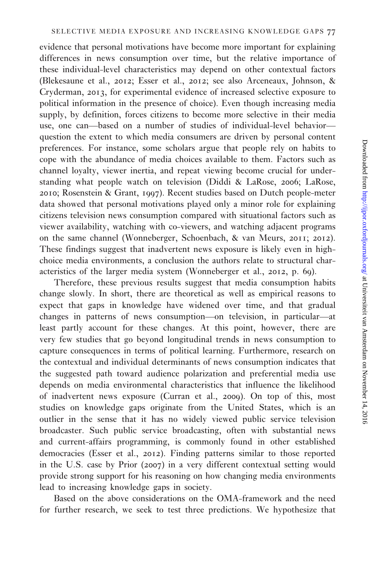evidence that personal motivations have become more important for explaining differences in news consumption over time, but the relative importance of these individual-level characteristics may depend on other contextual factors ([Blekesaune et al.,](#page-20-0) 2012; [Esser et al.,](#page-21-0) 2012; see also [Arceneaux, Johnson, &](#page-20-0) [Cryderman,](#page-20-0) 2013, for experimental evidence of increased selective exposure to political information in the presence of choice). Even though increasing media supply, by definition, forces citizens to become more selective in their media use, one can—based on a number of studies of individual-level behavior question the extent to which media consumers are driven by personal content preferences. For instance, some scholars argue that people rely on habits to cope with the abundance of media choices available to them. Factors such as channel loyalty, viewer inertia, and repeat viewing become crucial for understanding what people watch on television [\(Diddi & LaRose,](#page-20-0) 2006; [LaRose,](#page-22-0) [2010](#page-22-0); [Rosenstein & Grant,](#page-22-0) 1997). Recent studies based on Dutch people-meter data showed that personal motivations played only a minor role for explaining citizens television news consumption compared with situational factors such as viewer availability, watching with co-viewers, and watching adjacent programs on the same channel ([Wonneberger, Schoenbach, & van Meurs,](#page-23-0) 2011; [2012](#page-23-0)). These findings suggest that inadvertent news exposure is likely even in highchoice media environments, a conclusion the authors relate to structural characteristics of the larger media system ([Wonneberger et al.,](#page-23-0) 2012, p. 69).

Therefore, these previous results suggest that media consumption habits change slowly. In short, there are theoretical as well as empirical reasons to expect that gaps in knowledge have widened over time, and that gradual changes in patterns of news consumption—on television, in particular—at least partly account for these changes. At this point, however, there are very few studies that go beyond longitudinal trends in news consumption to capture consequences in terms of political learning. Furthermore, research on the contextual and individual determinants of news consumption indicates that the suggested path toward audience polarization and preferential media use depends on media environmental characteristics that influence the likelihood of inadvertent news exposure ([Curran et al.,](#page-20-0) 2009). On top of this, most studies on knowledge gaps originate from the United States, which is an outlier in the sense that it has no widely viewed public service television broadcaster. Such public service broadcasting, often with substantial news and current-affairs programming, is commonly found in other established democracies ([Esser et al.,](#page-21-0) 2012). Finding patterns similar to those reported in the U.S. case by [Prior \(](#page-22-0)2007) in a very different contextual setting would provide strong support for his reasoning on how changing media environments lead to increasing knowledge gaps in society.

Based on the above considerations on the OMA-framework and the need for further research, we seek to test three predictions. We hypothesize that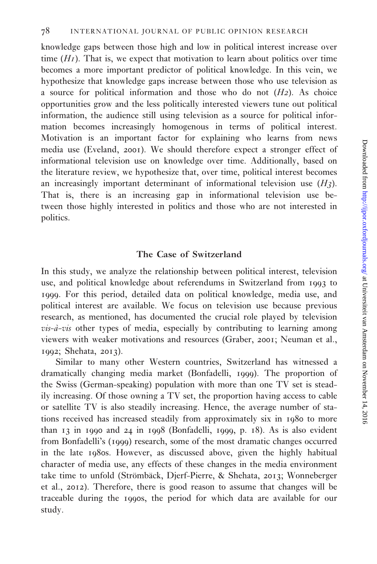knowledge gaps between those high and low in political interest increase over time  $(H)$ . That is, we expect that motivation to learn about politics over time becomes a more important predictor of political knowledge. In this vein, we hypothesize that knowledge gaps increase between those who use television as a source for political information and those who do not  $(H_2)$ . As choice opportunities grow and the less politically interested viewers tune out political information, the audience still using television as a source for political information becomes increasingly homogenous in terms of political interest. Motivation is an important factor for explaining who learns from news media use [\(Eveland,](#page-21-0) 2001). We should therefore expect a stronger effect of informational television use on knowledge over time. Additionally, based on the literature review, we hypothesize that, over time, political interest becomes an increasingly important determinant of informational television use  $(H_3)$ . That is, there is an increasing gap in informational television use between those highly interested in politics and those who are not interested in politics.

## The Case of Switzerland

In this study, we analyze the relationship between political interest, television use, and political knowledge about referendums in Switzerland from 1993 to 1999. For this period, detailed data on political knowledge, media use, and political interest are available. We focus on television use because previous research, as mentioned, has documented the crucial role played by television  $vis-\hat{a}-vis$  other types of media, especially by contributing to learning among viewers with weaker motivations and resources [\(Graber,](#page-21-0) 2001; [Neuman et al.,](#page-22-0) [1992](#page-22-0); [Shehata,](#page-22-0) 2013).

Similar to many other Western countries, Switzerland has witnessed a dramatically changing media market [\(Bonfadelli,](#page-20-0) 1999). The proportion of the Swiss (German-speaking) population with more than one TV set is steadily increasing. Of those owning a TV set, the proportion having access to cable or satellite TV is also steadily increasing. Hence, the average number of stations received has increased steadily from approximately six in 1980 to more than 13 in 1990 and 24 in 1998 ([Bonfadelli,](#page-20-0) 1999, p. 18). As is also evident from [Bonfadelli's \(](#page-20-0)1999) research, some of the most dramatic changes occurred in the late 1980s. However, as discussed above, given the highly habitual character of media use, any effects of these changes in the media environment take time to unfold (Strömbäck, Djerf-Pierre, & Shehata, 2013; [Wonneberger](#page-23-0) [et al.,](#page-23-0) 2012). Therefore, there is good reason to assume that changes will be traceable during the 1990s, the period for which data are available for our study.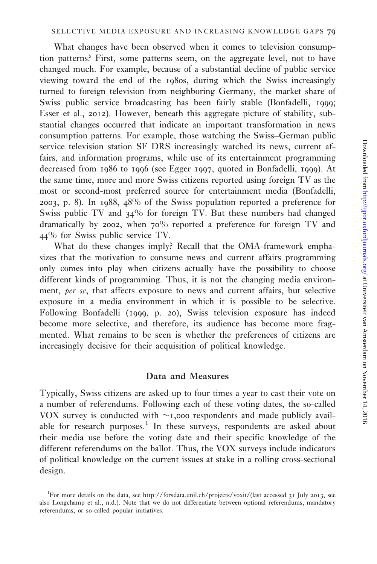What changes have been observed when it comes to television consumption patterns? First, some patterns seem, on the aggregate level, not to have changed much. For example, because of a substantial decline of public service viewing toward the end of the 1980s, during which the Swiss increasingly turned to foreign television from neighboring Germany, the market share of Swiss public service broadcasting has been fairly stable [\(Bonfadelli,](#page-20-0) 1999; [Esser et al.,](#page-21-0) 2012). However, beneath this aggregate picture of stability, substantial changes occurred that indicate an important transformation in news consumption patterns. For example, those watching the Swiss–German public service television station SF DRS increasingly watched its news, current affairs, and information programs, while use of its entertainment programming decreased from 1986 to 1996 (see Egger 1997, quoted in [Bonfadelli,](#page-20-0) 1999). At the same time, more and more Swiss citizens reported using foreign TV as the most or second-most preferred source for entertainment media ([Bonfadelli,](#page-20-0) [2003](#page-20-0), p. 8). In 1988, 48% of the Swiss population reported a preference for Swiss public TV and 34% for foreign TV. But these numbers had changed dramatically by 2002, when 70% reported a preference for foreign TV and 44% for Swiss public service TV.

What do these changes imply? Recall that the OMA-framework emphasizes that the motivation to consume news and current affairs programming only comes into play when citizens actually have the possibility to choose different kinds of programming. Thus, it is not the changing media environment, per se, that affects exposure to news and current affairs, but selective exposure in a media environment in which it is possible to be selective. Following Bonfadelli ([1999](#page-20-0), p. 20), Swiss television exposure has indeed become more selective, and therefore, its audience has become more fragmented. What remains to be seen is whether the preferences of citizens are increasingly decisive for their acquisition of political knowledge.

#### Data and Measures

Typically, Swiss citizens are asked up to four times a year to cast their vote on a number of referendums. Following each of these voting dates, the so-called VOX survey is conducted with  $\sim$ 1,000 respondents and made publicly available for research purposes.<sup>1</sup> In these surveys, respondents are asked about their media use before the voting date and their specific knowledge of the different referendums on the ballot. Thus, the VOX surveys include indicators of political knowledge on the current issues at stake in a rolling cross-sectional design.

<sup>&</sup>lt;sup>1</sup>For more details on the data, see [http://forsdata.unil.ch/projects/voxit/\(](http://forsdata.unil.ch/projects/voxit/)last accessed 31 July 2013, see also [Longchamp et al., n.d.\)](#page-22-0). Note that we do not differentiate between optional referendums, mandatory referendums, or so-called popular initiatives.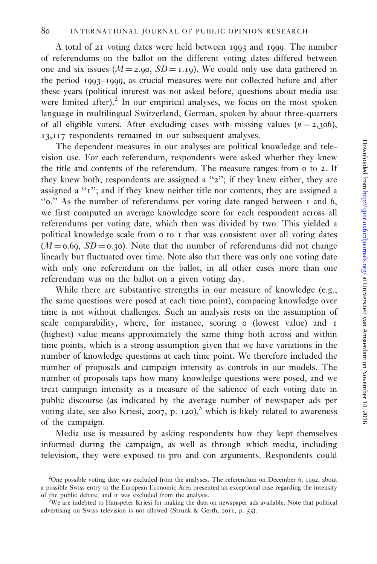A total of 21 voting dates were held between 1993 and 1999. The number of referendums on the ballot on the different voting dates differed between one and six issues ( $M = 2.90$ ,  $SD = 1.19$ ). We could only use data gathered in the period 1993–1999, as crucial measures were not collected before and after these years (political interest was not asked before, questions about media use were limited after).<sup>2</sup> In our empirical analyses, we focus on the most spoken language in multilingual Switzerland, German, spoken by about three-quarters of all eligible voters. After excluding cases with missing values  $(n = 2,306)$ , 13,117 respondents remained in our subsequent analyses.

The dependent measures in our analyses are political knowledge and television use. For each referendum, respondents were asked whether they knew the title and contents of the referendum. The measure ranges from 0 to 2. If they knew both, respondents are assigned a ''2''; if they knew either, they are assigned a ''1''; and if they knew neither title nor contents, they are assigned a "o." As the number of referendums per voting date ranged between 1 and 6, we first computed an average knowledge score for each respondent across all referendums per voting date, which then was divided by two. This yielded a political knowledge scale from 0 to 1 that was consistent over all voting dates  $(M = 0.69, SD = 0.30)$ . Note that the number of referendums did not change linearly but fluctuated over time. Note also that there was only one voting date with only one referendum on the ballot, in all other cases more than one referendum was on the ballot on a given voting day.

While there are substantive strengths in our measure of knowledge (e.g., the same questions were posed at each time point), comparing knowledge over time is not without challenges. Such an analysis rests on the assumption of scale comparability, where, for instance, scoring o (lowest value) and I (highest) value means approximately the same thing both across and within time points, which is a strong assumption given that we have variations in the number of knowledge questions at each time point. We therefore included the number of proposals and campaign intensity as controls in our models. The number of proposals taps how many knowledge questions were posed, and we treat campaign intensity as a measure of the salience of each voting date in public discourse (as indicated by the average number of newspaper ads per voting date, see also [Kriesi,](#page-21-0) 2007, p. 120), $3$  which is likely related to awareness of the campaign.

Media use is measured by asking respondents how they kept themselves informed during the campaign, as well as through which media, including television, they were exposed to pro and con arguments. Respondents could

<sup>&</sup>lt;sup>2</sup>One possible voting date was excluded from the analyses. The referendum on December 6, 1992, about a possible Swiss entry to the European Economic Area presented an exceptional case regarding the intensity of the public debate, and it was excluded from the analysis.

 $3We$  are indebted to Hanspeter Kriesi for making the data on newspaper ads available. Note that political advertising on Swiss television is not allowed [\(Strunk & Gerth,](#page-23-0) 2011, p. 55).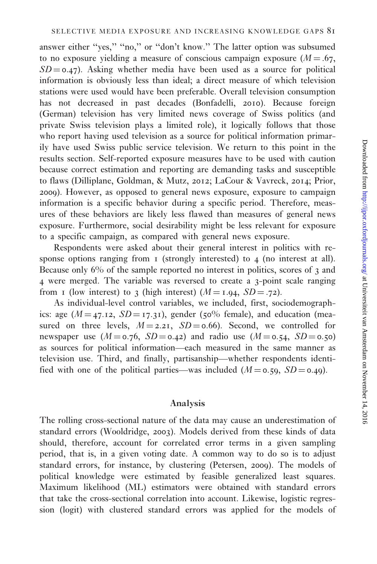answer either "yes," "no," or "don't know." The latter option was subsumed to no exposure yielding a measure of conscious campaign exposure  $(M = .67, )$  $SD = 0.47$ ). Asking whether media have been used as a source for political information is obviously less than ideal; a direct measure of which television stations were used would have been preferable. Overall television consumption has not decreased in past decades ([Bonfadelli,](#page-20-0) 2010). Because foreign (German) television has very limited news coverage of Swiss politics (and private Swiss television plays a limited role), it logically follows that those who report having used television as a source for political information primarily have used Swiss public service television. We return to this point in the results section. Self-reported exposure measures have to be used with caution because correct estimation and reporting are demanding tasks and susceptible to flaws [\(Dilliplane, Goldman, & Mutz,](#page-20-0) 2012; [LaCour & Vavreck,](#page-21-0) 2014; [Prior,](#page-22-0) [2009](#page-22-0)). However, as opposed to general news exposure, exposure to campaign information is a specific behavior during a specific period. Therefore, measures of these behaviors are likely less flawed than measures of general news exposure. Furthermore, social desirability might be less relevant for exposure to a specific campaign, as compared with general news exposure.

Respondents were asked about their general interest in politics with response options ranging from 1 (strongly interested) to 4 (no interest at all). Because only 6% of the sample reported no interest in politics, scores of 3 and 4 were merged. The variable was reversed to create a 3-point scale ranging from 1 (low interest) to 3 (high interest)  $(M = 1.94, SD = .72)$ .

As individual-level control variables, we included, first, sociodemographics: age  $(M = 47.12, SD = 17.31)$ , gender (50% female), and education (measured on three levels,  $M = 2.21$ ,  $SD = 0.66$ ). Second, we controlled for newspaper use  $(M = 0.76, SD = 0.42)$  and radio use  $(M = 0.54, SD = 0.50)$ as sources for political information—each measured in the same manner as television use. Third, and finally, partisanship—whether respondents identified with one of the political parties—was included  $(M = 0.59, SD = 0.49)$ .

### Analysis

The rolling cross-sectional nature of the data may cause an underestimation of standard errors [\(Wooldridge,](#page-23-0) 2003). Models derived from these kinds of data should, therefore, account for correlated error terms in a given sampling period, that is, in a given voting date. A common way to do so is to adjust standard errors, for instance, by clustering ([Petersen,](#page-22-0) 2009). The models of political knowledge were estimated by feasible generalized least squares. Maximum likelihood (ML) estimators were obtained with standard errors that take the cross-sectional correlation into account. Likewise, logistic regression (logit) with clustered standard errors was applied for the models of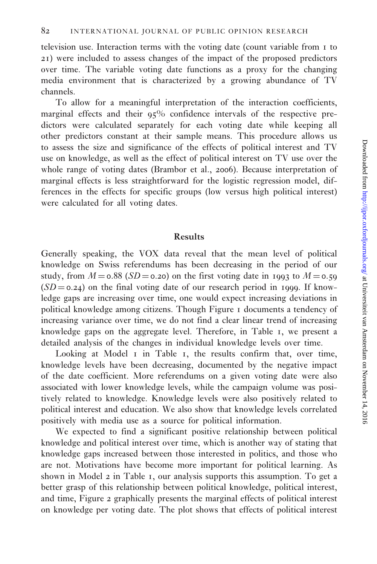television use. Interaction terms with the voting date (count variable from 1 to 21) were included to assess changes of the impact of the proposed predictors over time. The variable voting date functions as a proxy for the changing media environment that is characterized by a growing abundance of TV channels.

To allow for a meaningful interpretation of the interaction coefficients, marginal effects and their 95% confidence intervals of the respective predictors were calculated separately for each voting date while keeping all other predictors constant at their sample means. This procedure allows us to assess the size and significance of the effects of political interest and TV use on knowledge, as well as the effect of political interest on TV use over the whole range of voting dates ([Brambor et al.,](#page-20-0) 2006). Because interpretation of marginal effects is less straightforward for the logistic regression model, differences in the effects for specific groups (low versus high political interest) were calculated for all voting dates.

#### Results

Generally speaking, the VOX data reveal that the mean level of political knowledge on Swiss referendums has been decreasing in the period of our study, from  $M = 0.88$  (SD = 0.20) on the first voting date in 1993 to  $M = 0.59$  $(SD = 0.24)$  on the final voting date of our research period in 1999. If knowledge gaps are increasing over time, one would expect increasing deviations in political knowledge among citizens. Though [Figure](#page-11-0) 1 documents a tendency of increasing variance over time, we do not find a clear linear trend of increasing knowledge gaps on the aggregate level. Therefore, in [Table](#page-12-0) 1, we present a detailed analysis of the changes in individual knowledge levels over time.

Looking at Model  $I$  in [Table](#page-12-0)  $I$ , the results confirm that, over time, knowledge levels have been decreasing, documented by the negative impact of the date coefficient. More referendums on a given voting date were also associated with lower knowledge levels, while the campaign volume was positively related to knowledge. Knowledge levels were also positively related to political interest and education. We also show that knowledge levels correlated positively with media use as a source for political information.

We expected to find a significant positive relationship between political knowledge and political interest over time, which is another way of stating that knowledge gaps increased between those interested in politics, and those who are not. Motivations have become more important for political learning. As shown in Model 2 in [Table](#page-12-0) 1, our analysis supports this assumption. To get a better grasp of this relationship between political knowledge, political interest, and time, [Figure](#page-13-0) 2 graphically presents the marginal effects of political interest on knowledge per voting date. The plot shows that effects of political interest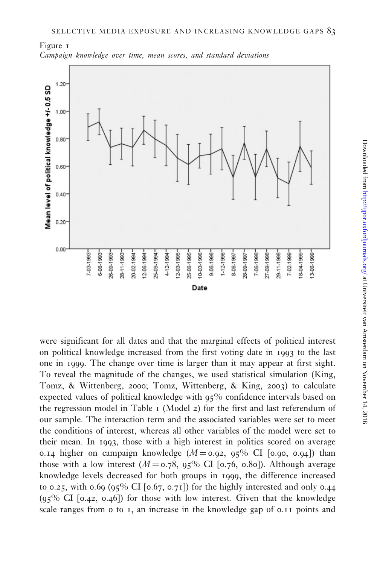

Campaign knowledge over time, mean scores, and standard deviations

<span id="page-11-0"></span>Figure 1

were significant for all dates and that the marginal effects of political interest on political knowledge increased from the first voting date in 1993 to the last one in 1999. The change over time is larger than it may appear at first sight. To reveal the magnitude of the changes, we used statistical simulation [\(King,](#page-21-0) [Tomz, & Wittenberg,](#page-21-0) 2000; [Tomz, Wittenberg, & King,](#page-23-0) 2003) to calculate expected values of political knowledge with 95% confidence intervals based on the regression model in [Table](#page-12-0) 1 (Model 2) for the first and last referendum of our sample. The interaction term and the associated variables were set to meet the conditions of interest, whereas all other variables of the model were set to their mean. In 1993, those with a high interest in politics scored on average 0.14 higher on campaign knowledge  $(M = 0.02, 95\% \text{ CI}$  [0.90, 0.94]) than those with a low interest ( $M = 0.78$ , 95% CI [0.76, 0.80]). Although average knowledge levels decreased for both groups in 1999, the difference increased to 0.25, with 0.69 (95% CI [0.67, 0.71]) for the highly interested and only 0.44  $(95\% \text{ CI}$  [0.42, 0.46]) for those with low interest. Given that the knowledge scale ranges from 0 to 1, an increase in the knowledge gap of 0.11 points and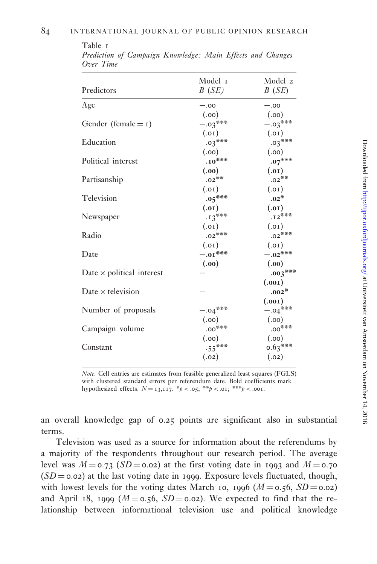| Model 1  | Model 2                                                                                                                                                                                                      |
|----------|--------------------------------------------------------------------------------------------------------------------------------------------------------------------------------------------------------------|
|          | B(SE)                                                                                                                                                                                                        |
| $-.00$   | $-.00$                                                                                                                                                                                                       |
|          | (0.0)                                                                                                                                                                                                        |
|          | $-.03***$                                                                                                                                                                                                    |
|          | (0.01)                                                                                                                                                                                                       |
|          | $.03***$                                                                                                                                                                                                     |
|          | (00.)                                                                                                                                                                                                        |
| $.10***$ | $.07***$                                                                                                                                                                                                     |
|          | (0.01)                                                                                                                                                                                                       |
| $.02***$ | $.02***$                                                                                                                                                                                                     |
|          | (0.01)                                                                                                                                                                                                       |
|          | $.02*$                                                                                                                                                                                                       |
| (0.01)   | (0.01)                                                                                                                                                                                                       |
|          | $.12***$                                                                                                                                                                                                     |
| (.01)    | (.01)                                                                                                                                                                                                        |
|          | $.02***$                                                                                                                                                                                                     |
|          | (0.01)                                                                                                                                                                                                       |
|          | $-.02$ ***                                                                                                                                                                                                   |
|          | (0.0)                                                                                                                                                                                                        |
|          | $.003***$                                                                                                                                                                                                    |
|          | (.001)                                                                                                                                                                                                       |
|          | $.002*$                                                                                                                                                                                                      |
|          | (.001)                                                                                                                                                                                                       |
|          | $-.04***$                                                                                                                                                                                                    |
|          | (00.)                                                                                                                                                                                                        |
|          | $.00***$                                                                                                                                                                                                     |
|          | (0.00)                                                                                                                                                                                                       |
|          | $0.63***$                                                                                                                                                                                                    |
| (.02)    | (.02)                                                                                                                                                                                                        |
|          | B(SE)<br>(0.00)<br>$-.03$ ***<br>(.01)<br>$.03***$<br>(0.00)<br>(0.0)<br>(.01)<br>$.05***$<br>$.13***$<br>$.02***$<br>(.01)<br>$-.01$ ***<br>(0.00)<br>$-.04***$<br>(00.)<br>$.00***$<br>(0.00)<br>$-55$ *** |

Prediction of Campaign Knowledge: Main Effects and Changes Over Time

Note. Cell entries are estimates from feasible generalized least squares (FGLS) with clustered standard errors per referendum date. Bold coefficients mark hypothesized effects.  $N = 13,117$ .  ${}^*\!p < .05$ ;  ${}^{**}\!p < .01$ ;  ${}^{***}\!p < .001$ .

an overall knowledge gap of 0.25 points are significant also in substantial terms.

Television was used as a source for information about the referendums by a majority of the respondents throughout our research period. The average level was  $M = 0.73$  (SD = 0.02) at the first voting date in 1993 and  $M = 0.70$  $(SD = 0.02)$  at the last voting date in 1999. Exposure levels fluctuated, though, with lowest levels for the voting dates March 10, 1996 ( $M = 0.56$ ,  $SD = 0.02$ ) and April 18, 1999 ( $M = 0.56$ ,  $SD = 0.02$ ). We expected to find that the relationship between informational television use and political knowledge

<span id="page-12-0"></span>Table 1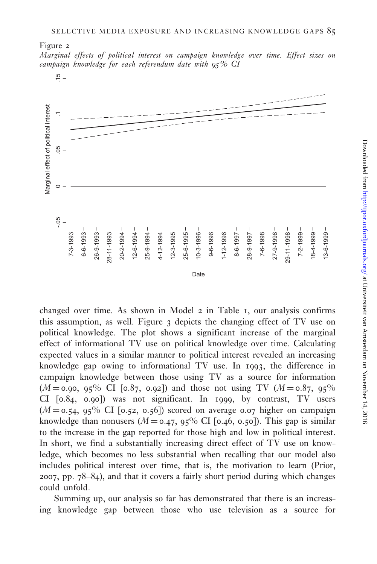```
Figure 2
```
Marginal effects of political interest on campaign knowledge over time. Effect sizes on campaign knowledge for each referendum date with  $95\%$  CI



changed over time. As shown in Model 2 in [Table](#page-12-0) 1, our analysis confirms this assumption, as well. [Figure](#page-14-0) 3 depicts the changing effect of TV use on political knowledge. The plot shows a significant increase of the marginal effect of informational TV use on political knowledge over time. Calculating expected values in a similar manner to political interest revealed an increasing knowledge gap owing to informational TV use. In 1993, the difference in campaign knowledge between those using TV as a source for information  $(M = 0.90, 95\% \text{ CI}$  [0.87, 0.92]) and those not using TV  $(M = 0.87, 95\%$ CI [0.84, 0.90]) was not significant. In 1999, by contrast, TV users  $(M = 0.54, 95\% \text{ CI}$  [0.52, 0.56]) scored on average 0.07 higher on campaign knowledge than nonusers ( $M = 0.47$ , 95% CI [0.46, 0.50]). This gap is similar to the increase in the gap reported for those high and low in political interest. In short, we find a substantially increasing direct effect of TV use on knowledge, which becomes no less substantial when recalling that our model also includes political interest over time, that is, the motivation to learn ([Prior,](#page-22-0) [2007](#page-22-0), pp. 78–84), and that it covers a fairly short period during which changes could unfold.

Summing up, our analysis so far has demonstrated that there is an increasing knowledge gap between those who use television as a source for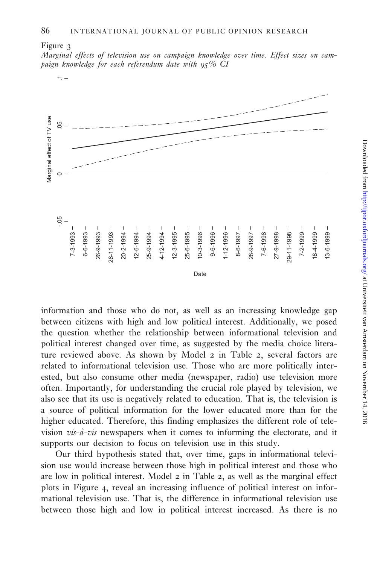<span id="page-14-0"></span>Figure 3

Marginal effects of television use on campaign knowledge over time. Effect sizes on campaign knowledge for each referendum date with  $95\%$  CI



information and those who do not, as well as an increasing knowledge gap between citizens with high and low political interest. Additionally, we posed the question whether the relationship between informational television and political interest changed over time, as suggested by the media choice literature reviewed above. As shown by Model 2 in [Table](#page-15-0) 2, several factors are related to informational television use. Those who are more politically interested, but also consume other media (newspaper, radio) use television more often. Importantly, for understanding the crucial role played by television, we also see that its use is negatively related to education. That is, the television is a source of political information for the lower educated more than for the higher educated. Therefore, this finding emphasizes the different role of television  $vis-\hat{a}-vis$  newspapers when it comes to informing the electorate, and it supports our decision to focus on television use in this study.

Our third hypothesis stated that, over time, gaps in informational television use would increase between those high in political interest and those who are low in political interest. Model 2 in [Table](#page-15-0) 2, as well as the marginal effect plots in [Figure](#page-16-0) 4, reveal an increasing influence of political interest on informational television use. That is, the difference in informational television use between those high and low in political interest increased. As there is no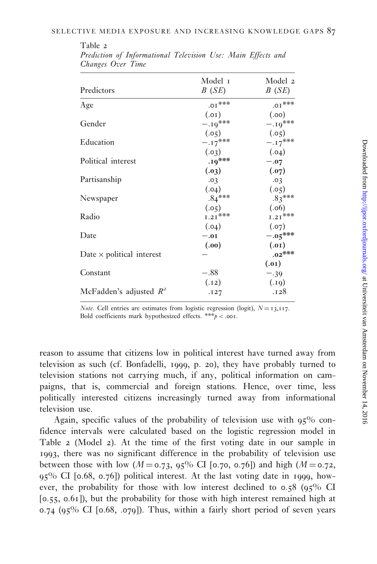| Predictors                       | Model 1      | Model 2      |
|----------------------------------|--------------|--------------|
|                                  | B(SE)        | B(SE)        |
| Age                              | $.01***$     | $.01***$     |
|                                  | (.01)        | (0.00)       |
| Gender                           | $-.10^{***}$ | $-.10^{***}$ |
|                                  | (.05)        | (.05)        |
| Education                        | $-.17***$    | $-.17***$    |
|                                  | (.03)        | (.04)        |
| Political interest               | $.19***$     | $-.07$       |
|                                  | (.03)        | (.07)        |
| Partisanship                     | .03          | .03          |
|                                  | (.04)        | (.05)        |
| Newspaper                        | $.84***$     | $.83***$     |
|                                  | (.05)        | (0.06)       |
| Radio                            | $1.21***$    | $1.21***$    |
|                                  | (.04)        | (.07)        |
| Date                             | $-.01$       | $-.05***$    |
|                                  | (0.00)       | (10.)        |
| Date $\times$ political interest |              | $.02***$     |
|                                  |              | (0.01)       |
| Constant                         | $-.88$       | $-.39$       |
|                                  | (.12)        | (.19)        |
| McFadden's adjusted $R^2$        | .127         | .128         |
|                                  |              |              |

<span id="page-15-0"></span>Table 2 Prediction of Informational Television Use: Main Effects and Changes Over Time

*Note.* Cell entries are estimates from logistic regression (logit),  $N = 13,117$ . Bold coefficients mark hypothesized effects. \*\*\* $p < .001$ .

reason to assume that citizens low in political interest have turned away from television as such (cf. [Bonfadelli,](#page-20-0) 1999, p. 20), they have probably turned to television stations not carrying much, if any, political information on campaigns, that is, commercial and foreign stations. Hence, over time, less politically interested citizens increasingly turned away from informational television use.

Again, specific values of the probability of television use with  $95\%$  confidence intervals were calculated based on the logistic regression model in Table 2 (Model 2). At the time of the first voting date in our sample in 1993, there was no significant difference in the probability of television use between those with low ( $M = 0.73$ , 95% CI [0.70, 0.76]) and high ( $M = 0.72$ , 95% CI [0.68, 0.76]) political interest. At the last voting date in 1999, however, the probability for those with low interest declined to 0.58 (95% CI [0.55, 0.61]), but the probability for those with high interest remained high at 0.74 ( $95\%$  CI [ $0.68$ , .079]). Thus, within a fairly short period of seven years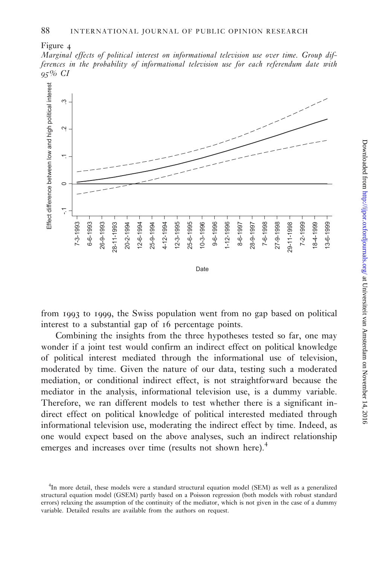<span id="page-16-0"></span>

Marginal effects of political interest on informational television use over time. Group differences in the probability of informational television use for each referendum date with 95% CI



from 1993 to 1999, the Swiss population went from no gap based on political interest to a substantial gap of 16 percentage points.

Combining the insights from the three hypotheses tested so far, one may wonder if a joint test would confirm an indirect effect on political knowledge of political interest mediated through the informational use of television, moderated by time. Given the nature of our data, testing such a moderated mediation, or conditional indirect effect, is not straightforward because the mediator in the analysis, informational television use, is a dummy variable. Therefore, we ran different models to test whether there is a significant indirect effect on political knowledge of political interested mediated through informational television use, moderating the indirect effect by time. Indeed, as one would expect based on the above analyses, such an indirect relationship emerges and increases over time (results not shown here).<sup>4</sup>

<sup>&</sup>lt;sup>4</sup>In more detail, these models were a standard structural equation model (SEM) as well as a generalized structural equation model (GSEM) partly based on a Poisson regression (both models with robust standard errors) relaxing the assumption of the continuity of the mediator, which is not given in the case of a dummy variable. Detailed results are available from the authors on request.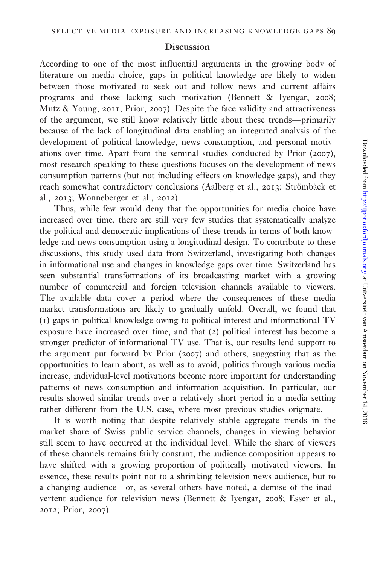#### **Discussion**

According to one of the most influential arguments in the growing body of literature on media choice, gaps in political knowledge are likely to widen between those motivated to seek out and follow news and current affairs programs and those lacking such motivation [\(Bennett & Iyengar,](#page-20-0) 2008; [Mutz & Young,](#page-22-0) 2011; [Prior,](#page-22-0) 2007). Despite the face validity and attractiveness of the argument, we still know relatively little about these trends—primarily because of the lack of longitudinal data enabling an integrated analysis of the development of political knowledge, news consumption, and personal motivations over time. Apart from the seminal studies conducted by [Prior \(](#page-22-0)2007), most research speaking to these questions focuses on the development of news consumption patterns (but not including effects on knowledge gaps), and they reach somewhat contradictory conclusions ([Aalberg et al.,](#page-19-0) 2013; Strömbäck et al., [2013](#page-23-0); [Wonneberger et al.,](#page-23-0) 2012).

Thus, while few would deny that the opportunities for media choice have increased over time, there are still very few studies that systematically analyze the political and democratic implications of these trends in terms of both knowledge and news consumption using a longitudinal design. To contribute to these discussions, this study used data from Switzerland, investigating both changes in informational use and changes in knowledge gaps over time. Switzerland has seen substantial transformations of its broadcasting market with a growing number of commercial and foreign television channels available to viewers. The available data cover a period where the consequences of these media market transformations are likely to gradually unfold. Overall, we found that (1) gaps in political knowledge owing to political interest and informational TV exposure have increased over time, and that (2) political interest has become a stronger predictor of informational TV use. That is, our results lend support to the argument put forward by [Prior \(](#page-22-0)2007) and others, suggesting that as the opportunities to learn about, as well as to avoid, politics through various media increase, individual-level motivations become more important for understanding patterns of news consumption and information acquisition. In particular, our results showed similar trends over a relatively short period in a media setting rather different from the U.S. case, where most previous studies originate.

It is worth noting that despite relatively stable aggregate trends in the market share of Swiss public service channels, changes in viewing behavior still seem to have occurred at the individual level. While the share of viewers of these channels remains fairly constant, the audience composition appears to have shifted with a growing proportion of politically motivated viewers. In essence, these results point not to a shrinking television news audience, but to a changing audience—or, as several others have noted, a demise of the inadvertent audience for television news [\(Bennett & Iyengar,](#page-20-0) 2008; [Esser et al.,](#page-21-0) [2012](#page-21-0); [Prior,](#page-22-0) 2007).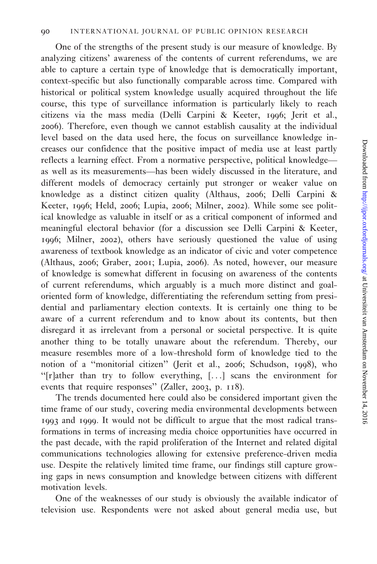One of the strengths of the present study is our measure of knowledge. By analyzing citizens' awareness of the contents of current referendums, we are able to capture a certain type of knowledge that is democratically important, context-specific but also functionally comparable across time. Compared with historical or political system knowledge usually acquired throughout the life course, this type of surveillance information is particularly likely to reach citizens via the mass media [\(Delli Carpini & Keeter,](#page-20-0) 1996; [Jerit et al.,](#page-21-0) [2006](#page-21-0)). Therefore, even though we cannot establish causality at the individual level based on the data used here, the focus on surveillance knowledge increases our confidence that the positive impact of media use at least partly reflects a learning effect. From a normative perspective, political knowledge as well as its measurements—has been widely discussed in the literature, and different models of democracy certainly put stronger or weaker value on knowledge as a distinct citizen quality [\(Althaus,](#page-20-0) 2006; [Delli Carpini &](#page-20-0) [Keeter,](#page-20-0) 1996; [Held,](#page-21-0) 2006; [Lupia,](#page-22-0) 2006; [Milner,](#page-22-0) 2002). While some see political knowledge as valuable in itself or as a critical component of informed and meaningful electoral behavior (for a discussion see [Delli Carpini & Keeter,](#page-20-0) [1996](#page-20-0); [Milner,](#page-22-0) 2002), others have seriously questioned the value of using awareness of textbook knowledge as an indicator of civic and voter competence ([Althaus,](#page-20-0) 2006; [Graber,](#page-21-0) 2001; [Lupia,](#page-22-0) 2006). As noted, however, our measure of knowledge is somewhat different in focusing on awareness of the contents of current referendums, which arguably is a much more distinct and goaloriented form of knowledge, differentiating the referendum setting from presidential and parliamentary election contexts. It is certainly one thing to be aware of a current referendum and to know about its contents, but then disregard it as irrelevant from a personal or societal perspective. It is quite another thing to be totally unaware about the referendum. Thereby, our measure resembles more of a low-threshold form of knowledge tied to the notion of a ''monitorial citizen'' ([Jerit et al.,](#page-21-0) 2006; [Schudson,](#page-22-0) 1998), who ''[r]ather than try to follow everything, [...] scans the environment for events that require responses'' [\(Zaller,](#page-23-0) 2003, p. 118).

The trends documented here could also be considered important given the time frame of our study, covering media environmental developments between 1993 and 1999. It would not be difficult to argue that the most radical transformations in terms of increasing media choice opportunities have occurred in the past decade, with the rapid proliferation of the Internet and related digital communications technologies allowing for extensive preference-driven media use. Despite the relatively limited time frame, our findings still capture growing gaps in news consumption and knowledge between citizens with different motivation levels.

One of the weaknesses of our study is obviously the available indicator of television use. Respondents were not asked about general media use, but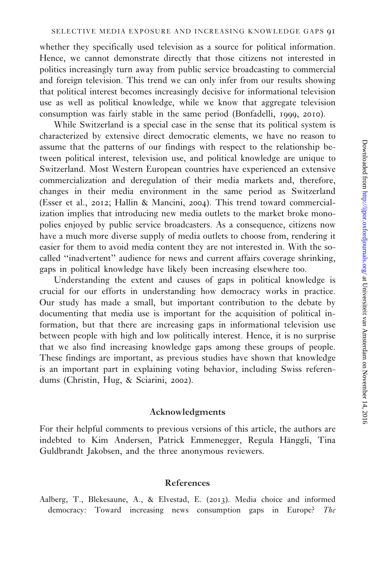<span id="page-19-0"></span>whether they specifically used television as a source for political information. Hence, we cannot demonstrate directly that those citizens not interested in politics increasingly turn away from public service broadcasting to commercial and foreign television. This trend we can only infer from our results showing that political interest becomes increasingly decisive for informational television use as well as political knowledge, while we know that aggregate television consumption was fairly stable in the same period [\(Bonfadelli,](#page-20-0) 1999, [2010](#page-20-0)).

While Switzerland is a special case in the sense that its political system is characterized by extensive direct democratic elements, we have no reason to assume that the patterns of our findings with respect to the relationship between political interest, television use, and political knowledge are unique to Switzerland. Most Western European countries have experienced an extensive commercialization and deregulation of their media markets and, therefore, changes in their media environment in the same period as Switzerland ([Esser et al.,](#page-21-0) 2012; [Hallin & Mancini,](#page-21-0) 2004). This trend toward commercialization implies that introducing new media outlets to the market broke monopolies enjoyed by public service broadcasters. As a consequence, citizens now have a much more diverse supply of media outlets to choose from, rendering it easier for them to avoid media content they are not interested in. With the socalled ''inadvertent'' audience for news and current affairs coverage shrinking, gaps in political knowledge have likely been increasing elsewhere too.

Understanding the extent and causes of gaps in political knowledge is crucial for our efforts in understanding how democracy works in practice. Our study has made a small, but important contribution to the debate by documenting that media use is important for the acquisition of political information, but that there are increasing gaps in informational television use between people with high and low politically interest. Hence, it is no surprise that we also find increasing knowledge gaps among these groups of people. These findings are important, as previous studies have shown that knowledge is an important part in explaining voting behavior, including Swiss referendums [\(Christin, Hug, & Sciarini,](#page-20-0) 2002).

### Acknowledgments

For their helpful comments to previous versions of this article, the authors are indebted to Kim Andersen, Patrick Emmenegger, Regula Hänggli, Tina Guldbrandt Jakobsen, and the three anonymous reviewers.

#### References

Aalberg, T., Blekesaune, A., & Elvestad, E. (2013). Media choice and informed democracy: Toward increasing news consumption gaps in Europe? The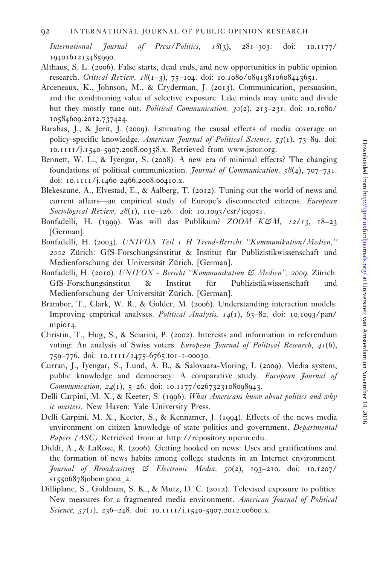<span id="page-20-0"></span>International Journal of Press/Politics, 18(3), 281–303. doi: 10.1177/ 1940161213485990.

- Althaus, S. L. (2006). False starts, dead ends, and new opportunities in public opinion research. Critical Review, 18(1-3), 75-104. doi: 10.1080/08913810608443651.
- Arceneaux, K., Johnson, M., & Cryderman, J. (2013). Communication, persuasion, and the conditioning value of selective exposure: Like minds may unite and divide but they mostly tune out. Political Communication, 30(2), 213–231. doi: 10.1080/ 10584609.2012.737424.
- Barabas, J., & Jerit, J. (2009). Estimating the causal effects of media coverage on policy-specific knowledge. American Journal of Political Science,  $53(1)$ ,  $73-89$ . doi: 10.1111/j.1540-5907.2008.00358.x. Retrieved from<www.jstor.org>.
- Bennett, W. L., & Iyengar, S. (2008). A new era of minimal effects? The changing foundations of political communication. Journal of Communication, 58(4), 707–731. doi: 10.1111/j.1460-2466.2008.00410.x.
- Blekesaune, A., Elvestad, E., & Aalberg, T. (2012). Tuning out the world of news and current affairs—an empirical study of Europe's disconnected citizens. *European* Sociological Review,  $28(1)$ ,  $110-126$ . doi:  $10.1093/esr/icq051$ .
- Bonfadelli, H. (1999). Was will das Publikum?  $ZOOM$   $K\mathfrak{S}M$ ,  $12/13$ ,  $18-23$ [German].
- Bonfadelli, H. (2003). UNIVOX Teil 1 H Trend-Bericht ''Kommunikation/Medien,'' 2002 Zürich: GfS-Forschungsinstitut & Institut für Publizistikwissenschaft und Medienforschung der Universität Zürich. [German].
- Bonfadelli, H. (2010).  $UNIVOX Bericht$  "Kommunikation  $\mathfrak{S}$  Medien", 2009. Zürich: GfS-Forschungsinstitut & Institut für Publizistikwissenschaft und Medienforschung der Universität Zürich. [German].
- Brambor, T., Clark, W. R., & Golder, M. (2006). Understanding interaction models: Improving empirical analyses. *Political Analysis*,  $14(1)$ , 63–82. doi: 10.1093/pan/ mpi014.
- Christin, T., Hug, S., & Sciarini, P. (2002). Interests and information in referendum voting: An analysis of Swiss voters. European Journal of Political Research,  $4I(6)$ , 759–776. doi: 10.1111/1475-6765.t01-1-00030.
- Curran, J., Iyengar, S., Lund, A. B., & Salovaara-Moring, I. (2009). Media system, public knowledge and democracy: A comparative study. European Journal of Communication, 24(1), 5-26. doi: 10.1177/0267323108098943.
- Delli Carpini, M. X., & Keeter, S. (1996). What Americans know about politics and why it matters. New Haven: Yale University Press.
- Delli Carpini, M. X., Keeter, S., & Kennamer, J. (1994). Effects of the news media environment on citizen knowledge of state politics and government. Departmental Papers (ASC) Retrieved from at<http://repository.upenn.edu>.
- Diddi, A., & LaRose, R. (2006). Getting hooked on news: Uses and gratifications and the formation of news habits among college students in an Internet environment. Journal of Broadcasting & Electronic Media, 50(2), 193–210. doi: 10.1207/ s15506878jobem5002\_2.
- Dilliplane, S., Goldman, S. K., & Mutz, D. C. (2012). Televised exposure to politics: New measures for a fragmented media environment. American Journal of Political Science, 57(1), 236-248. doi: 10.1111/j.1540-5907.2012.00600.x.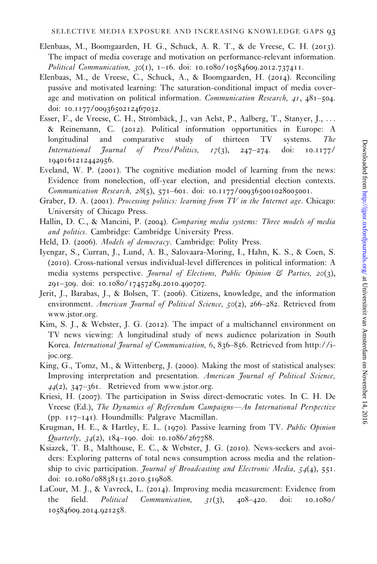- <span id="page-21-0"></span>Elenbaas, M., Boomgaarden, H. G., Schuck, A. R. T., & de Vreese, C. H. (2013). The impact of media coverage and motivation on performance-relevant information. Political Communication,  $30(1)$ ,  $1-16$ . doi:  $10.1080/10584609.2012.737411$ .
- Elenbaas, M., de Vreese, C., Schuck, A., & Boomgaarden, H. (2014). Reconciling passive and motivated learning: The saturation-conditional impact of media coverage and motivation on political information. Communication Research, 41, 481-504. doi: 10.1177/0003650212467032.
- Esser, F., de Vreese, C. H., Strömbäck, J., van Aelst, P., Aalberg, T., Stanyer, J., ... & Reinemann, C. (2012). Political information opportunities in Europe: A longitudinal and comparative study of thirteen TV systems. The International Journal of Press/Politics, 17(3), 247–274. doi: 10.1177/ 1940161212442956.
- Eveland, W. P. (2001). The cognitive mediation model of learning from the news: Evidence from nonelection, off-year election, and presidential election contexts. Communication Research,  $28(5)$ ,  $571-601$ . doi:  $10.1177/000365001028005001$ .
- Graber, D. A. (2001). Processing politics: learning from TV in the Internet age. Chicago: University of Chicago Press.
- Hallin, D. C., & Mancini, P. (2004). Comparing media systems: Three models of media and politics. Cambridge: Cambridge University Press.
- Held, D. (2006). Models of democracy. Cambridge: Polity Press.
- Iyengar, S., Curran, J., Lund, A. B., Salovaara-Moring, I., Hahn, K. S., & Coen, S. (2010). Cross-national versus individual-level differences in political information: A media systems perspective. Journal of Elections, Public Opinion  $\mathfrak{S}$  Parties, 20(3), 291–309. doi: 10.1080/17457289.2010.490707.
- Jerit, J., Barabas, J., & Bolsen, T. (2006). Citizens, knowledge, and the information environment. American Journal of Political Science, 50(2), 266-282. Retrieved from <www.jstor.org>.
- Kim, S. J., & Webster, J. G. (2012). The impact of a multichannel environment on TV news viewing: A longitudinal study of news audience polarization in South Korea. International Journal of Communication, 6, 836–856. Retrieved from [http://i](http://ijoc.org)[joc.org](http://ijoc.org).
- King, G., Tomz, M., & Wittenberg, J. (2000). Making the most of statistical analyses: Improving interpretation and presentation. American Journal of Political Science,  $44(2)$ ,  $347-36$ I. Retrieved from<www.jstor.org>.
- Kriesi, H. (2007). The participation in Swiss direct-democratic votes. In C. H. De Vreese (Ed.), The Dynamics of Referendum Campaigns—An International Perspective (pp. 117–141). Houndmills: Palgrave Macmillan.
- Krugman, H. E., & Hartley, E. L. (1970). Passive learning from TV. Public Opinion *Quarterly*,  $34(2)$ ,  $184-190$ . doi:  $10.1086/267788$ .
- Ksiazek, T. B., Malthouse, E. C., & Webster, J. G. (2010). News-seekers and avoiders: Exploring patterns of total news consumption across media and the relationship to civic participation. *Journal of Broadcasting and Electronic Media*,  $54(4)$ ,  $551$ . doi: 10.1080/08838151.2010.519808.
- LaCour, M. J., & Vavreck, L. (2014). Improving media measurement: Evidence from the field. *Political Communication*,  $31(3)$ ,  $408-420$ . doi: 10.1080/ 10584609.2014.921258.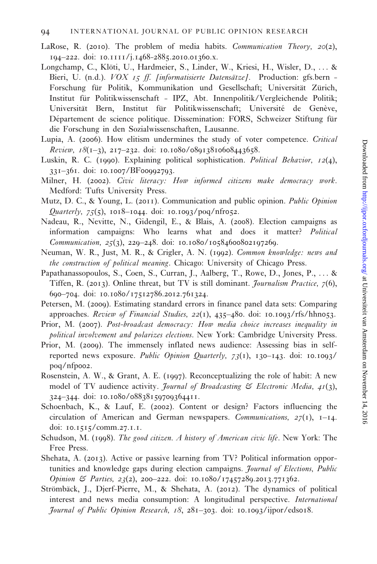- <span id="page-22-0"></span>LaRose, R. (2010). The problem of media habits. Communication Theory, 20(2), 194–222. doi: 10.1111/j.1468-2885.2010.01360.x.
- Longchamp, C., Klöti, U., Hardmeier, S., Linder, W., Kriesi, H., Wisler, D., ... & Bieri, U. (n.d.). VOX 15 ff. [informatisierte Datensätze]. Production: gfs.bern -Forschung für Politik, Kommunikation und Gesellschaft; Universität Zürich, Institut für Politikwissenschaft - IPZ, Abt. Innenpolitik/Vergleichende Politik; Universität Bern, Institut für Politikwissenschaft; Université de Genève, Département de science politique. Dissemination: FORS, Schweizer Stiftung für die Forschung in den Sozialwissenschaften, Lausanne.
- Lupia, A. (2006). How elitism undermines the study of voter competence. Critical Review,  $18(1-3)$ ,  $217-232$ . doi:  $10.1080/08913810608443658$ .
- Luskin, R. C. (1990). Explaining political sophistication. Political Behavior, 12(4), 331–361. doi: 10.1007/BF00992793.
- Milner, H. (2002). Civic literacy: How informed citizens make democracy work. Medford: Tufts University Press.
- Mutz, D. C., & Young, L. (2011). Communication and public opinion. *Public Opinion*  $Quarterly, 75(5), 1018-1044.$  doi: 10.1093/poq/nfr052.
- Nadeau, R., Nevitte, N., Gidengil, E., & Blais, A. (2008). Election campaigns as information campaigns: Who learns what and does it matter? Political Communication, 25(3), 229–248. doi: 10.1080/10584600802197269.
- Neuman, W. R., Just, M. R., & Crigler, A. N. (1992). Common knowledge: news and the construction of political meaning. Chicago: University of Chicago Press.
- Papathanassopoulos, S., Coen, S., Curran, J., Aalberg, T., Rowe, D., Jones, P., ... & Tiffen, R. (2013). Online threat, but TV is still dominant. Journalism Practice, 7(6), 690–704. doi: 10.1080/17512786.2012.761324.
- Petersen, M. (2009). Estimating standard errors in finance panel data sets: Comparing approaches. Review of Financial Studies, 22(1), 435-480. doi: 10.1093/rfs/hhn053.
- Prior, M. (2007). Post-broadcast democracy: How media choice increases inequality in political involvement and polarizes elections. New York: Cambridge University Press.
- Prior, M. (2009). The immensely inflated news audience: Assessing bias in selfreported news exposure. Public Opinion Quarterly,  $73(1)$ ,  $130-143$ . doi: 10.1093/ poq/nfp002.
- Rosenstein, A. W., & Grant, A. E. (1997). Reconceptualizing the role of habit: A new model of TV audience activity. Journal of Broadcasting  $\mathfrak{S}$  Electronic Media, 41(3), 324–344. doi: 10.1080/08838159709364411.
- Schoenbach, K., & Lauf, E. (2002). Content or design? Factors influencing the circulation of American and German newspapers. Communications,  $27(1)$ ,  $1-14$ . doi: 10.1515/comm.27.1.1.
- Schudson, M. (1998). The good citizen. A history of American civic life. New York: The Free Press.
- Shehata, A. (2013). Active or passive learning from TV? Political information opportunities and knowledge gaps during election campaigns. Journal of Elections, Public Opinion & Parties, 23(2), 200–222. doi: 10.1080/17457289.2013.771362.
- Strömbäck, J., Djerf-Pierre, M., & Shehata, A. (2012). The dynamics of political interest and news media consumption: A longitudinal perspective. International Journal of Public Opinion Research, 18, 281–303. doi: 10.1093/ijpor/eds018.